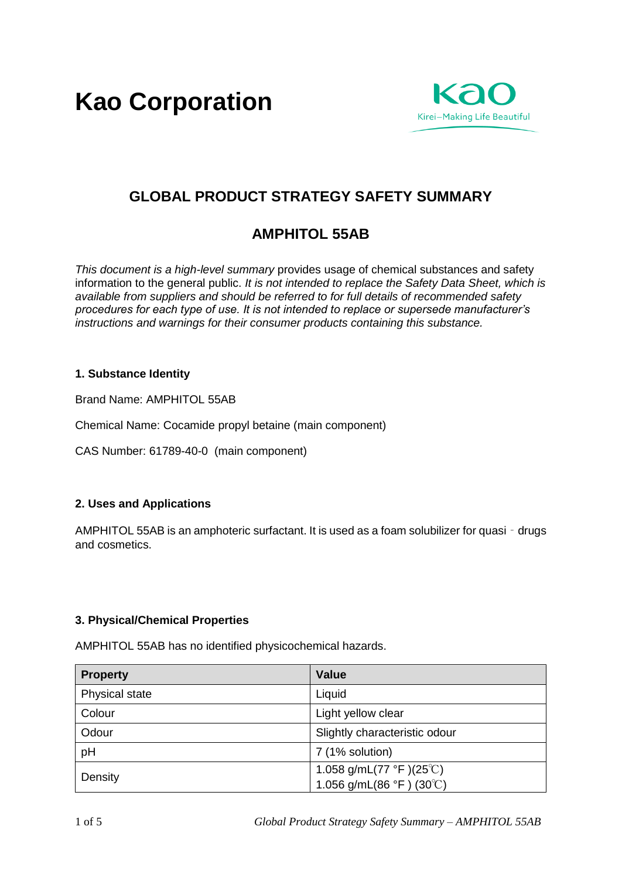**Kao Corporation**



# **GLOBAL PRODUCT STRATEGY SAFETY SUMMARY**

# **AMPHITOL 55AB**

*This document is a high-level summary* provides usage of chemical substances and safety information to the general public. *It is not intended to replace the Safety Data Sheet, which is available from suppliers and should be referred to for full details of recommended safety procedures for each type of use. It is not intended to replace or supersede manufacturer's instructions and warnings for their consumer products containing this substance.* 

## **1. Substance Identity**

Brand Name: AMPHITOL 55AB

Chemical Name: Cocamide propyl betaine (main component)

CAS Number: 61789-40-0 (main component)

### **2. Uses and Applications**

AMPHITOL 55AB is an amphoteric surfactant. It is used as a foam solubilizer for quasi - drugs and cosmetics.

## **3. Physical/Chemical Properties**

**Property Value** Physical state Liquid Colour and Colour Light yellow clear Odour Slightly characteristic odour pH 7 (1% solution) Density  $1.058 \frac{\text{g}}{\text{mL}} (77 \text{ °F}) (25 \text{°C})$ 1.056 g/mL(86 °F ) (30℃)

AMPHITOL 55AB has no identified physicochemical hazards.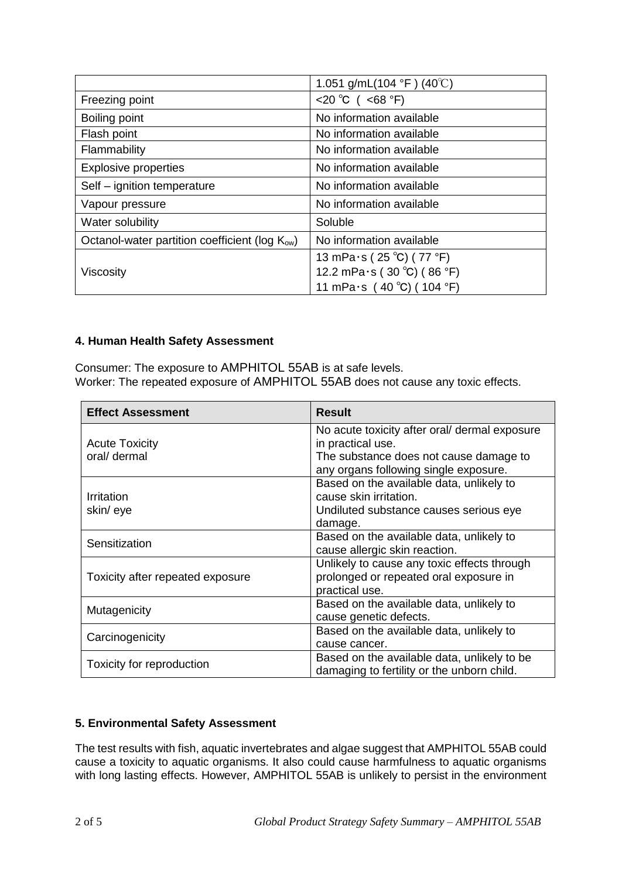|                                                            | 1.051 g/mL(104 °F) (40°C)          |
|------------------------------------------------------------|------------------------------------|
| Freezing point                                             | <20 °C ( <68 °F)                   |
| Boiling point                                              | No information available           |
| Flash point                                                | No information available           |
| Flammability                                               | No information available           |
| <b>Explosive properties</b>                                | No information available           |
| Self – ignition temperature                                | No information available           |
| Vapour pressure                                            | No information available           |
| Water solubility                                           | Soluble                            |
| Octanol-water partition coefficient (log K <sub>ow</sub> ) | No information available           |
| Viscosity                                                  | 13 mPa $\cdot$ s (25 °C) (77 °F)   |
|                                                            | 12.2 mPa $\cdot$ s (30 °C) (86 °F) |
|                                                            | 11 mPa $\cdot$ s (40 °C) (104 °F)  |

## **4. Human Health Safety Assessment**

Consumer: The exposure to AMPHITOL 55AB is at safe levels. Worker: The repeated exposure of AMPHITOL 55AB does not cause any toxic effects.

| <b>Effect Assessment</b>              | <b>Result</b>                                                                                           |
|---------------------------------------|---------------------------------------------------------------------------------------------------------|
| <b>Acute Toxicity</b><br>oral/ dermal | No acute toxicity after oral/ dermal exposure<br>in practical use.                                      |
|                                       | The substance does not cause damage to<br>any organs following single exposure.                         |
| Irritation<br>skin/eye                | Based on the available data, unlikely to<br>cause skin irritation.                                      |
|                                       | Undiluted substance causes serious eye<br>damage.                                                       |
| Sensitization                         | Based on the available data, unlikely to<br>cause allergic skin reaction.                               |
| Toxicity after repeated exposure      | Unlikely to cause any toxic effects through<br>prolonged or repeated oral exposure in<br>practical use. |
| Mutagenicity                          | Based on the available data, unlikely to<br>cause genetic defects.                                      |
| Carcinogenicity                       | Based on the available data, unlikely to<br>cause cancer.                                               |
| Toxicity for reproduction             | Based on the available data, unlikely to be<br>damaging to fertility or the unborn child.               |

# **5. Environmental Safety Assessment**

The test results with fish, aquatic invertebrates and algae suggest that AMPHITOL 55AB could cause a toxicity to aquatic organisms. It also could cause harmfulness to aquatic organisms with long lasting effects. However, AMPHITOL 55AB is unlikely to persist in the environment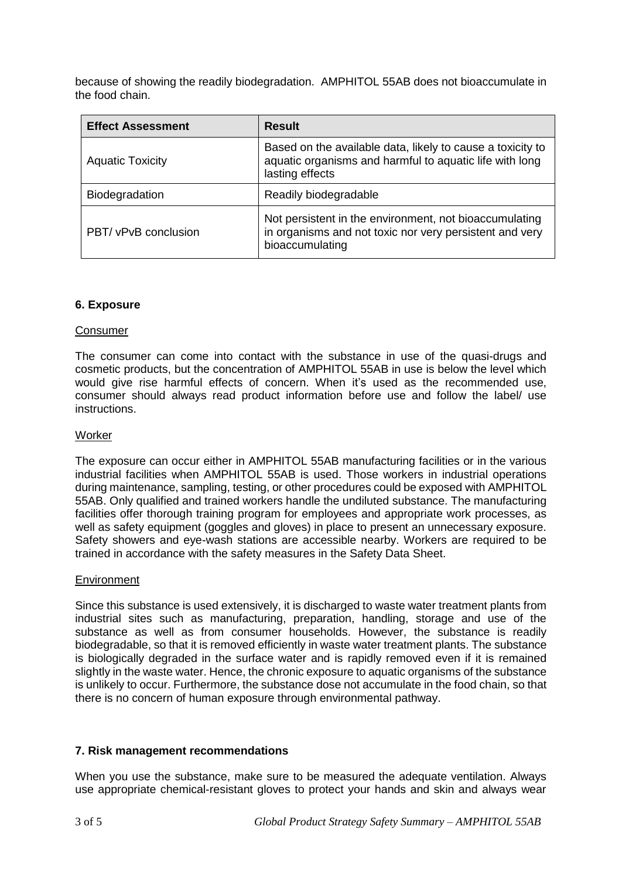because of showing the readily biodegradation. AMPHITOL 55AB does not bioaccumulate in the food chain.

| <b>Effect Assessment</b> | <b>Result</b>                                                                                                                            |
|--------------------------|------------------------------------------------------------------------------------------------------------------------------------------|
| <b>Aquatic Toxicity</b>  | Based on the available data, likely to cause a toxicity to<br>aquatic organisms and harmful to aquatic life with long<br>lasting effects |
| <b>Biodegradation</b>    | Readily biodegradable                                                                                                                    |
| PBT/ vPvB conclusion     | Not persistent in the environment, not bioaccumulating<br>in organisms and not toxic nor very persistent and very<br>bioaccumulating     |

### **6. Exposure**

#### Consumer

The consumer can come into contact with the substance in use of the quasi-drugs and cosmetic products, but the concentration of AMPHITOL 55AB in use is below the level which would give rise harmful effects of concern. When it's used as the recommended use, consumer should always read product information before use and follow the label/ use instructions.

#### **Worker**

The exposure can occur either in AMPHITOL 55AB manufacturing facilities or in the various industrial facilities when AMPHITOL 55AB is used. Those workers in industrial operations during maintenance, sampling, testing, or other procedures could be exposed with AMPHITOL 55AB. Only qualified and trained workers handle the undiluted substance. The manufacturing facilities offer thorough training program for employees and appropriate work processes, as well as safety equipment (goggles and gloves) in place to present an unnecessary exposure. Safety showers and eye-wash stations are accessible nearby. Workers are required to be trained in accordance with the safety measures in the Safety Data Sheet.

#### Environment

Since this substance is used extensively, it is discharged to waste water treatment plants from industrial sites such as manufacturing, preparation, handling, storage and use of the substance as well as from consumer households. However, the substance is readily biodegradable, so that it is removed efficiently in waste water treatment plants. The substance is biologically degraded in the surface water and is rapidly removed even if it is remained slightly in the waste water. Hence, the chronic exposure to aquatic organisms of the substance is unlikely to occur. Furthermore, the substance dose not accumulate in the food chain, so that there is no concern of human exposure through environmental pathway.

### **7. Risk management recommendations**

When you use the substance, make sure to be measured the adequate ventilation. Always use appropriate chemical-resistant gloves to protect your hands and skin and always wear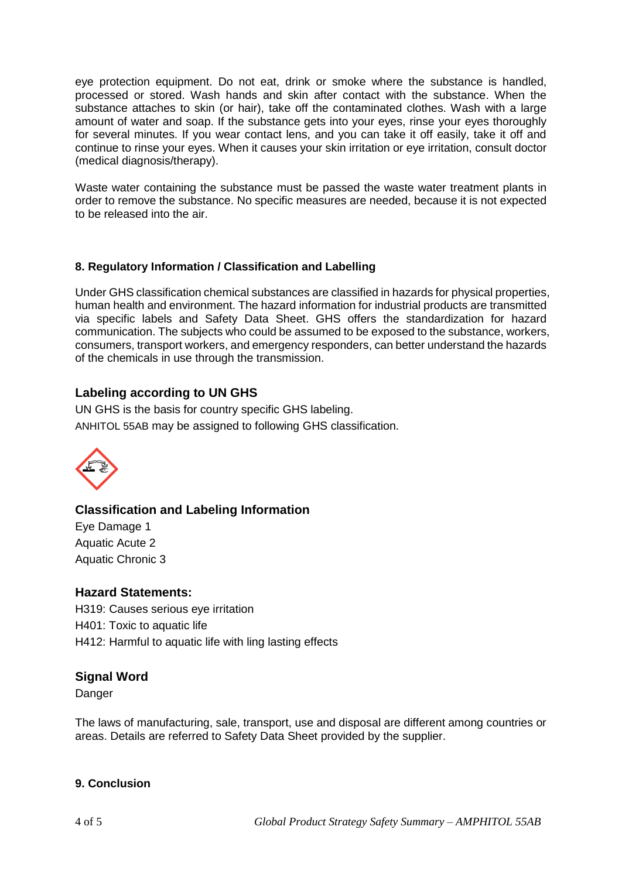eye protection equipment. Do not eat, drink or smoke where the substance is handled, processed or stored. Wash hands and skin after contact with the substance. When the substance attaches to skin (or hair), take off the contaminated clothes. Wash with a large amount of water and soap. If the substance gets into your eyes, rinse your eyes thoroughly for several minutes. If you wear contact lens, and you can take it off easily, take it off and continue to rinse your eyes. When it causes your skin irritation or eye irritation, consult doctor (medical diagnosis/therapy).

Waste water containing the substance must be passed the waste water treatment plants in order to remove the substance. No specific measures are needed, because it is not expected to be released into the air.

# **8. Regulatory Information / Classification and Labelling**

Under GHS classification chemical substances are classified in hazards for physical properties, human health and environment. The hazard information for industrial products are transmitted via specific labels and Safety Data Sheet. GHS offers the standardization for hazard communication. The subjects who could be assumed to be exposed to the substance, workers, consumers, transport workers, and emergency responders, can better understand the hazards of the chemicals in use through the transmission.

# **Labeling according to UN GHS**

UN GHS is the basis for country specific GHS labeling. ANHITOL 55AB may be assigned to following GHS classification.



# **Classification and Labeling Information**

Eye Damage 1 Aquatic Acute 2 Aquatic Chronic 3

# **Hazard Statements:**

H319: Causes serious eye irritation H401: Toxic to aquatic life H412: Harmful to aquatic life with ling lasting effects

# **Signal Word**

Danger

The laws of manufacturing, sale, transport, use and disposal are different among countries or areas. Details are referred to Safety Data Sheet provided by the supplier.

### **9. Conclusion**